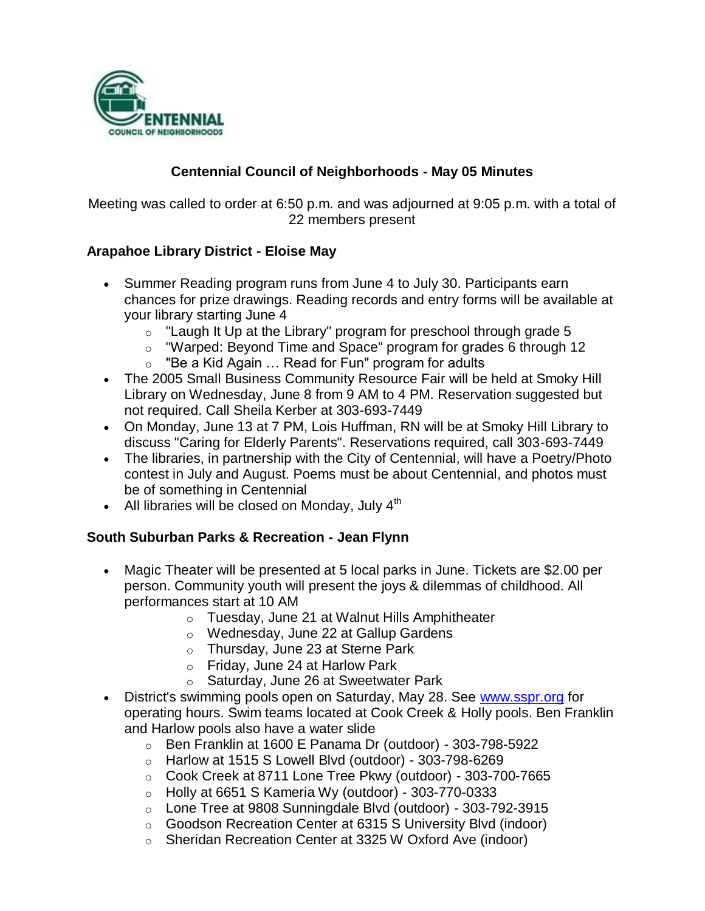

## **Centennial Council of Neighborhoods - May 05 Minutes**

Meeting was called to order at 6:50 p.m. and was adjourned at 9:05 p.m. with a total of 22 members present

### **Arapahoe Library District - Eloise May**

- Summer Reading program runs from June 4 to July 30. Participants earn chances for prize drawings. Reading records and entry forms will be available at your library starting June 4
	- $\circ$  "Laugh It Up at the Library" program for preschool through grade 5
	- o "Warped: Beyond Time and Space" program for grades 6 through 12
	- $\circ$  "Be a Kid Again  $\ldots$  Read for Fun" program for adults
- The 2005 Small Business Community Resource Fair will be held at Smoky Hill Library on Wednesday, June 8 from 9 AM to 4 PM. Reservation suggested but not required. Call Sheila Kerber at 303-693-7449
- On Monday, June 13 at 7 PM, Lois Huffman, RN will be at Smoky Hill Library to discuss "Caring for Elderly Parents". Reservations required, call 303-693-7449
- The libraries, in partnership with the City of Centennial, will have a Poetry/Photo contest in July and August. Poems must be about Centennial, and photos must be of something in Centennial
- All libraries will be closed on Monday, July  $4<sup>th</sup>$

#### **South Suburban Parks & Recreation - Jean Flynn**

- Magic Theater will be presented at 5 local parks in June. Tickets are \$2.00 per person. Community youth will present the joys & dilemmas of childhood. All performances start at 10 AM
	- o Tuesday, June 21 at Walnut Hills Amphitheater
	- o Wednesday, June 22 at Gallup Gardens
	- o Thursday, June 23 at Sterne Park
	- o Friday, June 24 at Harlow Park
	- o Saturday, June 26 at Sweetwater Park
- District's swimming pools open on Saturday, May 28. See www.sspr.org for operating hours. Swim teams located at Cook Creek & Holly pools. Ben Franklin and Harlow pools also have a water slide
	- o Ben Franklin at 1600 E Panama Dr (outdoor) 303-798-5922
	- $\circ$  Harlow at 1515 S Lowell Blvd (outdoor) 303-798-6269
	- o Cook Creek at 8711 Lone Tree Pkwy (outdoor) 303-700-7665
	- $\circ$  Holly at 6651 S Kameria Wy (outdoor) 303-770-0333
	- o Lone Tree at 9808 Sunningdale Blvd (outdoor) 303-792-3915
	- o Goodson Recreation Center at 6315 S University Blvd (indoor)
	- o Sheridan Recreation Center at 3325 W Oxford Ave (indoor)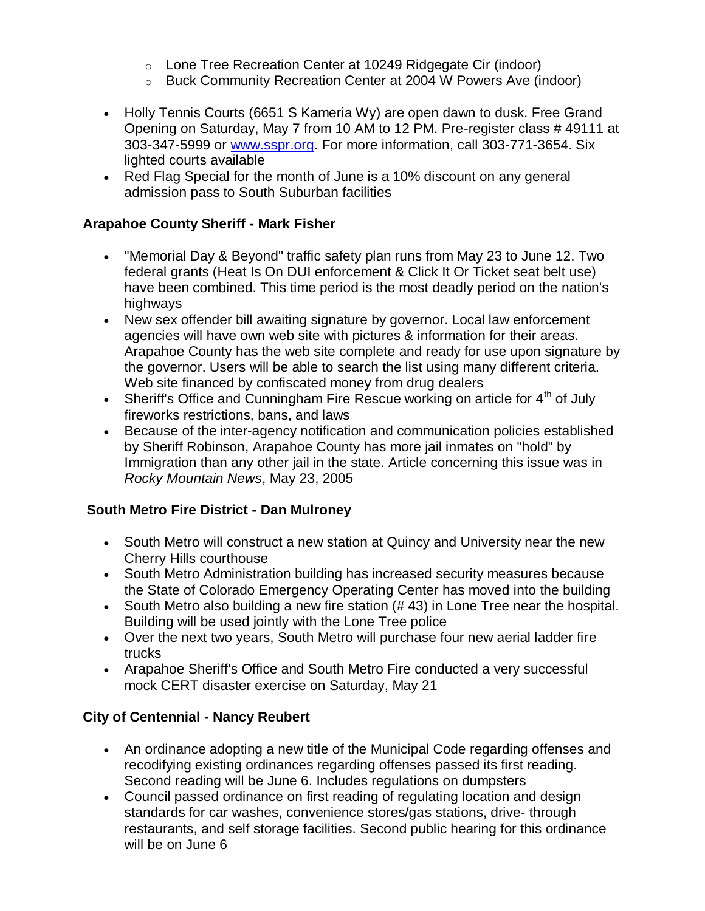- o Lone Tree Recreation Center at 10249 Ridgegate Cir (indoor)
- o Buck Community Recreation Center at 2004 W Powers Ave (indoor)
- Holly Tennis Courts (6651 S Kameria Wy) are open dawn to dusk. Free Grand Opening on Saturday, May 7 from 10 AM to 12 PM. Pre-register class # 49111 at 303-347-5999 or www.sspr.org. For more information, call 303-771-3654. Six lighted courts available
- Red Flag Special for the month of June is a 10% discount on any general admission pass to South Suburban facilities

### **Arapahoe County Sheriff - Mark Fisher**

- "Memorial Day & Beyond" traffic safety plan runs from May 23 to June 12. Two federal grants (Heat Is On DUI enforcement & Click It Or Ticket seat belt use) have been combined. This time period is the most deadly period on the nation's highways
- New sex offender bill awaiting signature by governor. Local law enforcement agencies will have own web site with pictures & information for their areas. Arapahoe County has the web site complete and ready for use upon signature by the governor. Users will be able to search the list using many different criteria. Web site financed by confiscated money from drug dealers
- Sheriff's Office and Cunningham Fire Rescue working on article for  $4<sup>th</sup>$  of July fireworks restrictions, bans, and laws
- Because of the inter-agency notification and communication policies established by Sheriff Robinson, Arapahoe County has more jail inmates on "hold" by Immigration than any other jail in the state. Article concerning this issue was in *Rocky Mountain News*, May 23, 2005

### **South Metro Fire District - Dan Mulroney**

- South Metro will construct a new station at Quincy and University near the new Cherry Hills courthouse
- South Metro Administration building has increased security measures because the State of Colorado Emergency Operating Center has moved into the building
- South Metro also building a new fire station (# 43) in Lone Tree near the hospital. Building will be used jointly with the Lone Tree police
- Over the next two years, South Metro will purchase four new aerial ladder fire trucks
- Arapahoe Sheriff's Office and South Metro Fire conducted a very successful mock CERT disaster exercise on Saturday, May 21

# **City of Centennial - Nancy Reubert**

- An ordinance adopting a new title of the Municipal Code regarding offenses and recodifying existing ordinances regarding offenses passed its first reading. Second reading will be June 6. Includes regulations on dumpsters
- Council passed ordinance on first reading of regulating location and design standards for car washes, convenience stores/gas stations, drive- through restaurants, and self storage facilities. Second public hearing for this ordinance will be on June 6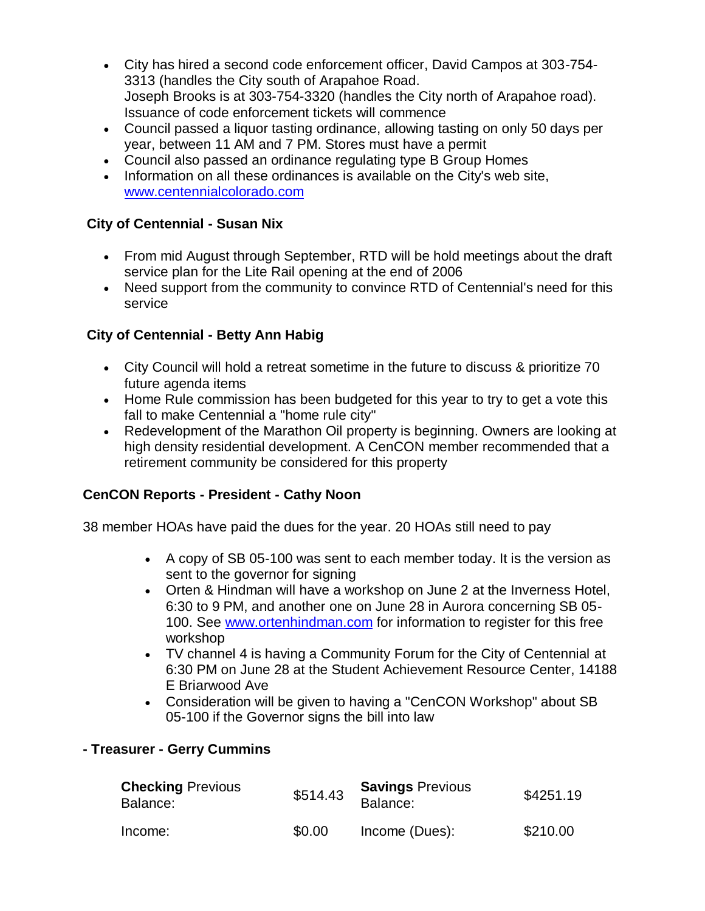- City has hired a second code enforcement officer, David Campos at 303-754- 3313 (handles the City south of Arapahoe Road. Joseph Brooks is at 303-754-3320 (handles the City north of Arapahoe road). Issuance of code enforcement tickets will commence
- Council passed a liquor tasting ordinance, allowing tasting on only 50 days per year, between 11 AM and 7 PM. Stores must have a permit
- Council also passed an ordinance regulating type B Group Homes
- Information on all these ordinances is available on the City's web site, www.centennialcolorado.com

#### **City of Centennial - Susan Nix**

- From mid August through September, RTD will be hold meetings about the draft service plan for the Lite Rail opening at the end of 2006
- Need support from the community to convince RTD of Centennial's need for this service

### **City of Centennial - Betty Ann Habig**

- City Council will hold a retreat sometime in the future to discuss & prioritize 70 future agenda items
- Home Rule commission has been budgeted for this year to try to get a vote this fall to make Centennial a "home rule city"
- Redevelopment of the Marathon Oil property is beginning. Owners are looking at high density residential development. A CenCON member recommended that a retirement community be considered for this property

### **CenCON Reports - President - Cathy Noon**

38 member HOAs have paid the dues for the year. 20 HOAs still need to pay

- A copy of SB 05-100 was sent to each member today. It is the version as sent to the governor for signing
- Orten & Hindman will have a workshop on June 2 at the Inverness Hotel, 6:30 to 9 PM, and another one on June 28 in Aurora concerning SB 05- 100. See www.ortenhindman.com for information to register for this free workshop
- TV channel 4 is having a Community Forum for the City of Centennial at 6:30 PM on June 28 at the Student Achievement Resource Center, 14188 E Briarwood Ave
- Consideration will be given to having a "CenCON Workshop" about SB 05-100 if the Governor signs the bill into law

### **- Treasurer - Gerry Cummins**

| <b>Checking Previous</b><br>Balance: | \$514.43 | <b>Savings Previous</b><br>Balance: | \$4251.19 |
|--------------------------------------|----------|-------------------------------------|-----------|
| Income:                              | \$0.00   | Income (Dues):                      | \$210.00  |